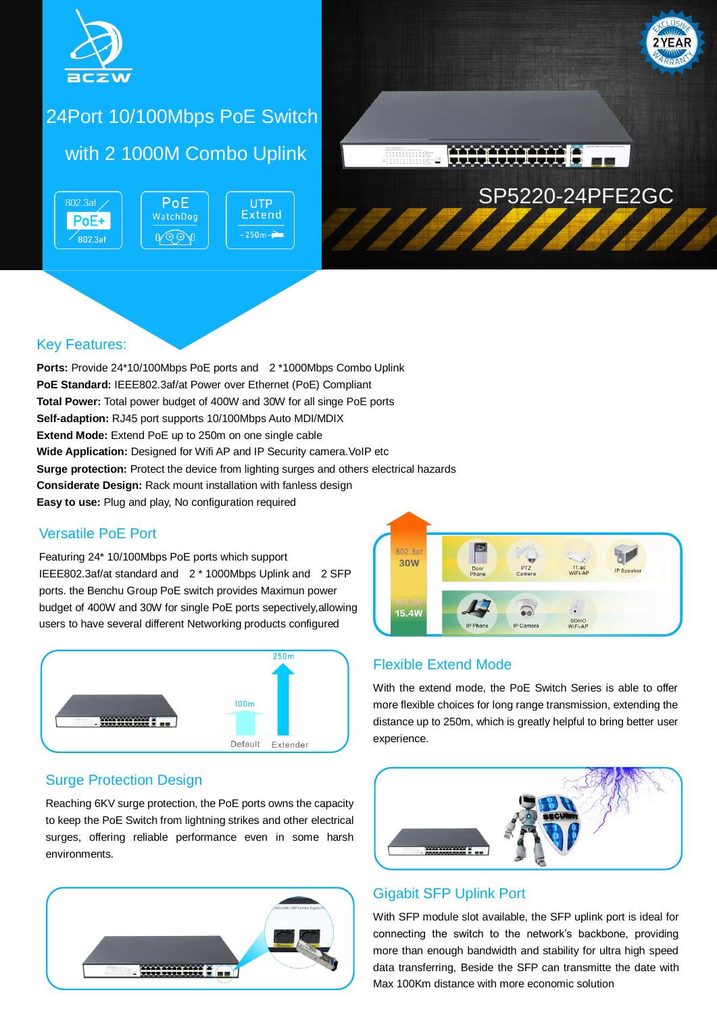

# 24Port 10/100Mbps PoE Switch

## with 2 1000M Combo Uplink

PoE

WatchDog

**A** 

802.3at PoE+  $\degree$ 802.3af





### Key Features:

**Ports:** Provide 24\*10/100Mbps PoE ports and 2 \*1000Mbps Combo Uplink **PoE Standard:** IEEE802.3af/at Power over Ethernet (PoE) Compliant **Total Power:** Total power budget of 400W and 30W for all singe PoE ports **Self-adaption:** RJ45 port supports 10/100Mbps Auto MDI/MDIX **Extend Mode:** Extend PoE up to 250m on one single cable **Wide Application:** Designed for Wifi AP and IP Security camera. VoIP etc **Surge protection:** Protect the device from lighting surges and others electrical hazards **Considerate Design:** Rack mount installation with fanless design **Easy to use:** Plug and play, No configuration required

### Versatile PoE Port

Featuring 24\* 10/100Mbps PoE ports which support IEEE802.3af/at standard and 2 \* 1000Mbps Uplink and 2 SFP ports. the Benchu Group PoE switch provides Maximun power budget of 400W and 30W for single PoE ports sepectively,allowing users to have several different Networking products configured



### Surge Protection Design

Reaching 6KV surge protection, the PoE ports owns the capacity to keep the PoE Switch from lightning strikes and other electrical surges, offering reliable performance even in some harsh environments.





### Flexible Extend Mode

With the extend mode, the PoE Switch Series is able to offer more flexible choices for long range transmission, extending the distance up to 250m, which is greatly helpful to bring better user experience.



### Gigabit SFP Uplink Port

With SFP module slot available, the SFP uplink port is ideal for connecting the switch to the network's backbone, providing more than enough bandwidth and stability for ultra high speed data transferring, Beside the SFP can transmitte the date with Max 100Km distance with more economic solution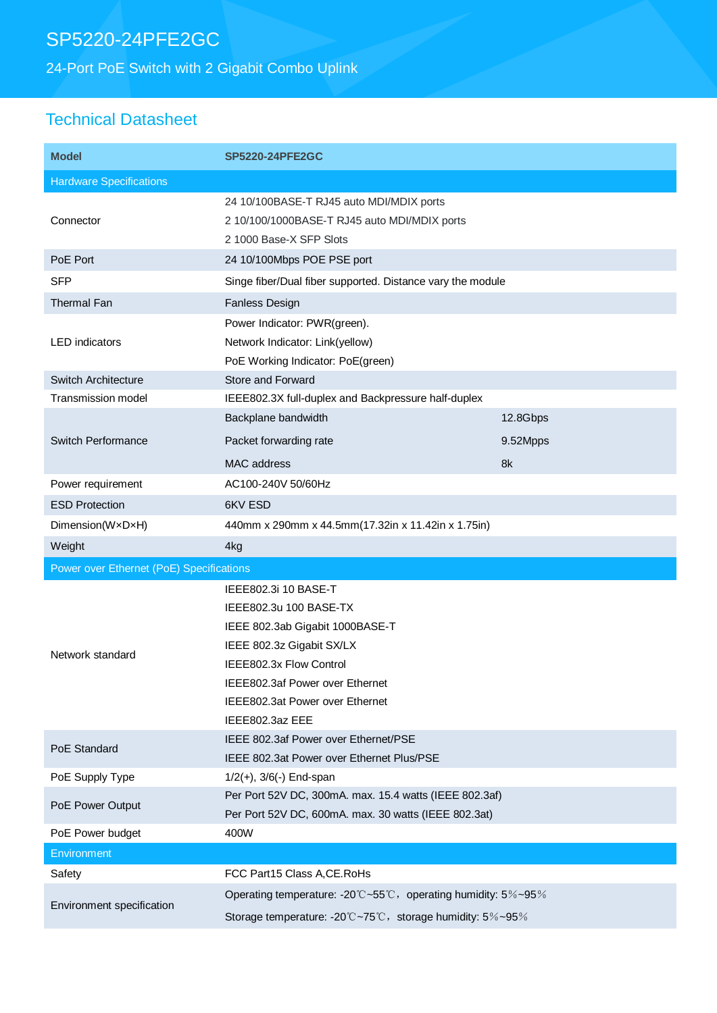# SP5220-24PFE2GC

24-Port PoE Switch with 2 Gigabit Combo Uplink

## Technical Datasheet

| <b>Model</b>                             | <b>SP5220-24PFE2GC</b>                                                                                                                                                                                                             |          |
|------------------------------------------|------------------------------------------------------------------------------------------------------------------------------------------------------------------------------------------------------------------------------------|----------|
| <b>Hardware Specifications</b>           |                                                                                                                                                                                                                                    |          |
| Connector                                | 24 10/100BASE-T RJ45 auto MDI/MDIX ports<br>2 10/100/1000BASE-T RJ45 auto MDI/MDIX ports<br>2 1000 Base-X SFP Slots                                                                                                                |          |
| PoE Port                                 | 24 10/100Mbps POE PSE port                                                                                                                                                                                                         |          |
| <b>SFP</b>                               | Singe fiber/Dual fiber supported. Distance vary the module                                                                                                                                                                         |          |
| <b>Thermal Fan</b>                       | <b>Fanless Design</b>                                                                                                                                                                                                              |          |
| <b>LED</b> indicators                    | Power Indicator: PWR(green).<br>Network Indicator: Link(yellow)<br>PoE Working Indicator: PoE(green)                                                                                                                               |          |
| Switch Architecture                      | <b>Store and Forward</b>                                                                                                                                                                                                           |          |
| Transmission model                       | IEEE802.3X full-duplex and Backpressure half-duplex                                                                                                                                                                                |          |
| <b>Switch Performance</b>                | Backplane bandwidth                                                                                                                                                                                                                | 12.8Gbps |
|                                          | Packet forwarding rate                                                                                                                                                                                                             | 9.52Mpps |
|                                          | <b>MAC</b> address                                                                                                                                                                                                                 | 8k       |
| Power requirement                        | AC100-240V 50/60Hz                                                                                                                                                                                                                 |          |
| <b>ESD Protection</b>                    | 6KV ESD                                                                                                                                                                                                                            |          |
| Dimension(WxDxH)                         | 440mm x 290mm x 44.5mm(17.32in x 11.42in x 1.75in)                                                                                                                                                                                 |          |
| Weight                                   | 4kg                                                                                                                                                                                                                                |          |
| Power over Ethernet (PoE) Specifications |                                                                                                                                                                                                                                    |          |
| Network standard                         | IEEE802.3i 10 BASE-T<br>IEEE802.3u 100 BASE-TX<br>IEEE 802.3ab Gigabit 1000BASE-T<br>IEEE 802.3z Gigabit SX/LX<br>IEEE802.3x Flow Control<br>IEEE802.3af Power over Ethernet<br>IEEE802.3at Power over Ethernet<br>IEEE802.3az EEE |          |
| PoE Standard                             | IEEE 802.3af Power over Ethernet/PSE<br>IEEE 802.3at Power over Ethernet Plus/PSE                                                                                                                                                  |          |
| PoE Supply Type                          | $1/2(+)$ , $3/6(-)$ End-span                                                                                                                                                                                                       |          |
| PoE Power Output                         | Per Port 52V DC, 300mA. max. 15.4 watts (IEEE 802.3af)<br>Per Port 52V DC, 600mA. max. 30 watts (IEEE 802.3at)                                                                                                                     |          |
| PoE Power budget                         | 400W                                                                                                                                                                                                                               |          |
| Environment                              |                                                                                                                                                                                                                                    |          |
| Safety                                   | FCC Part15 Class A, CE. RoHs                                                                                                                                                                                                       |          |
| Environment specification                | Operating temperature: -20°C~55°C, operating humidity: 5%~95%<br>Storage temperature: -20°C~75°C, storage humidity: 5%~95%                                                                                                         |          |